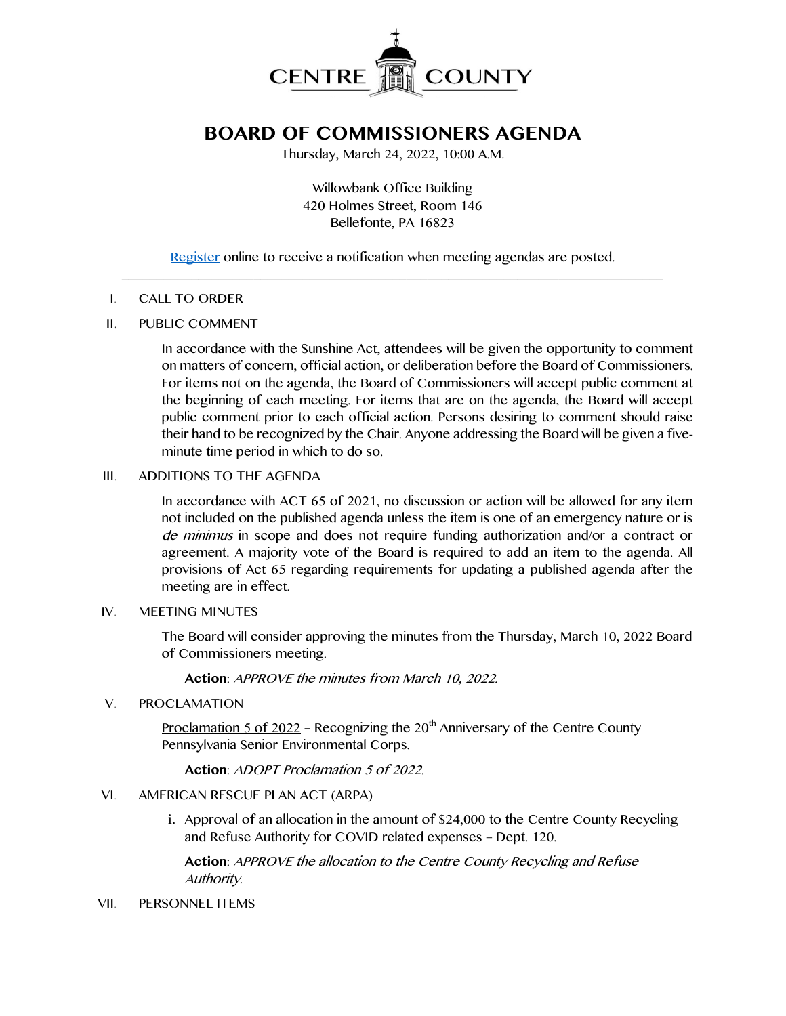

# **BOARD OF COMMISSIONERS AGENDA**

Thursday, March 24, 2022, 10:00 A.M.

Willowbank Office Building 420 Holmes Street, Room 146 Bellefonte, PA 16823

[Register](http://www.centrecountypa.gov/AgendaCenter) online to receive a notification when meeting agendas are posted.  $\mathcal{L} = \{ \mathcal{L} = \{ \mathcal{L} \mid \mathcal{L} = \{ \mathcal{L} \mid \mathcal{L} = \{ \mathcal{L} \mid \mathcal{L} = \{ \mathcal{L} \mid \mathcal{L} = \{ \mathcal{L} \mid \mathcal{L} = \{ \mathcal{L} \mid \mathcal{L} = \{ \mathcal{L} \mid \mathcal{L} = \{ \mathcal{L} \mid \mathcal{L} = \{ \mathcal{L} \mid \mathcal{L} = \{ \mathcal{L} \mid \mathcal{L} = \{ \mathcal{L} \mid \mathcal{L} = \{ \mathcal{L} \mid \mathcal{L} =$ 

## I. CALL TO ORDER

## II. PUBLIC COMMENT

In accordance with the Sunshine Act, attendees will be given the opportunity to comment on matters of concern, official action, or deliberation before the Board of Commissioners. For items not on the agenda, the Board of Commissioners will accept public comment at the beginning of each meeting. For items that are on the agenda, the Board will accept public comment prior to each official action. Persons desiring to comment should raise their hand to be recognized by the Chair. Anyone addressing the Board will be given a fiveminute time period in which to do so.

## III. ADDITIONS TO THE AGENDA

In accordance with ACT 65 of 2021, no discussion or action will be allowed for any item not included on the published agenda unless the item is one of an emergency nature or is de minimus in scope and does not require funding authorization and/or a contract or agreement. A majority vote of the Board is required to add an item to the agenda. All provisions of Act 65 regarding requirements for updating a published agenda after the meeting are in effect.

#### IV. MEETING MINUTES

The Board will consider approving the minutes from the Thursday, March 10, 2022 Board of Commissioners meeting.

#### **Action**: APPROVE the minutes from March 10, 2022.

#### V. PROCLAMATION

Proclamation 5 of 2022 – Recognizing the  $20<sup>th</sup>$  Anniversary of the Centre County Pennsylvania Senior Environmental Corps.

# **Action**: ADOPT Proclamation 5 of 2022.

#### VI. AMERICAN RESCUE PLAN ACT (ARPA)

i. Approval of an allocation in the amount of \$24,000 to the Centre County Recycling and Refuse Authority for COVID related expenses – Dept. 120.

**Action**: APPROVE the allocation to the Centre County Recycling and Refuse Authority.

#### VII. PERSONNEL ITEMS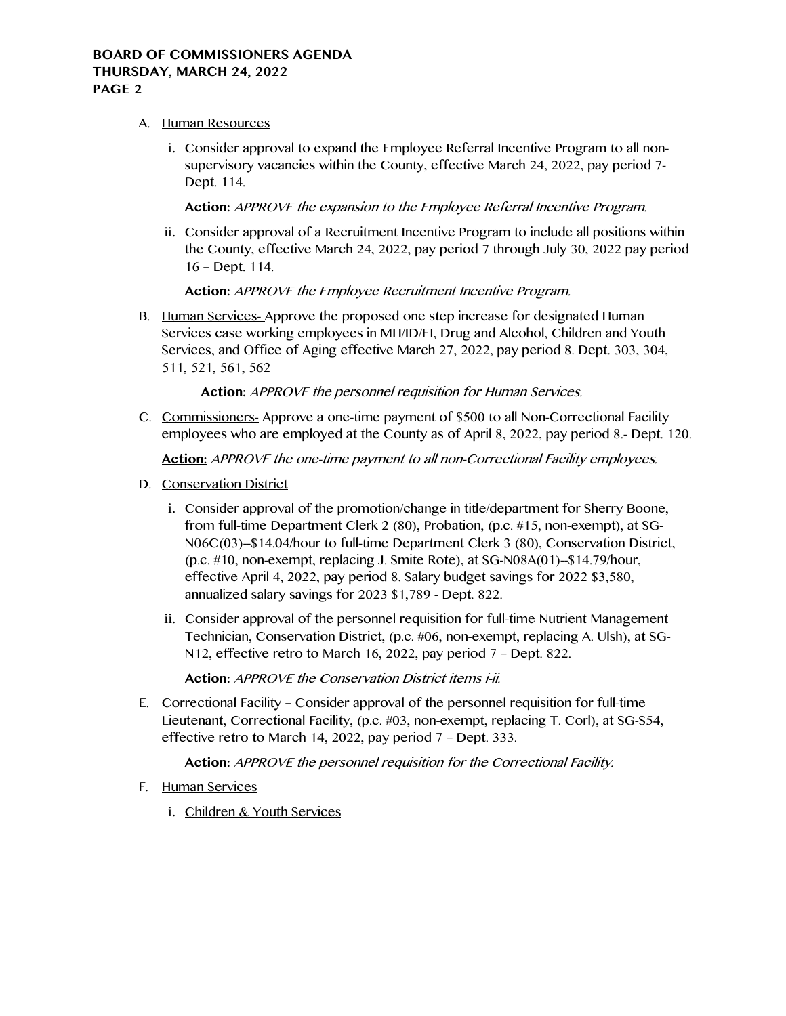# A. Human Resources

i. Consider approval to expand the Employee Referral Incentive Program to all nonsupervisory vacancies within the County, effective March 24, 2022, pay period 7- Dept. 114.

# **Action:** APPROVE the expansion to the Employee Referral Incentive Program.

ii. Consider approval of a Recruitment Incentive Program to include all positions within the County, effective March 24, 2022, pay period 7 through July 30, 2022 pay period 16 – Dept. 114.

# **Action:** APPROVE the Employee Recruitment Incentive Program.

B. Human Services- Approve the proposed one step increase for designated Human Services case working employees in MH/ID/EI, Drug and Alcohol, Children and Youth Services, and Office of Aging effective March 27, 2022, pay period 8. Dept. 303, 304, 511, 521, 561, 562

# **Action:** APPROVE the personnel requisition for Human Services.

C. Commissioners- Approve a one-time payment of \$500 to all Non-Correctional Facility employees who are employed at the County as of April 8, 2022, pay period 8.- Dept. 120.

**Action:** APPROVE the one-time payment to all non-Correctional Facility employees.

- D. Conservation District
	- i. Consider approval of the promotion/change in title/department for Sherry Boone, from full-time Department Clerk 2 (80), Probation, (p.c. #15, non-exempt), at SG-N06C(03)--\$14.04/hour to full-time Department Clerk 3 (80), Conservation District, (p.c. #10, non-exempt, replacing J. Smite Rote), at SG-N08A(01)--\$14.79/hour, effective April 4, 2022, pay period 8. Salary budget savings for 2022 \$3,580, annualized salary savings for 2023 \$1,789 - Dept. 822.
	- ii. Consider approval of the personnel requisition for full-time Nutrient Management Technician, Conservation District, (p.c. #06, non-exempt, replacing A. Ulsh), at SG-N12, effective retro to March 16, 2022, pay period 7 – Dept. 822.

**Action:** APPROVE the Conservation District items i-ii.

E. Correctional Facility – Consider approval of the personnel requisition for full-time Lieutenant, Correctional Facility, (p.c. #03, non-exempt, replacing T. Corl), at SG-S54, effective retro to March 14, 2022, pay period 7 – Dept. 333.

# **Action:** APPROVE the personnel requisition for the Correctional Facility.

- F. Human Services
	- i. Children & Youth Services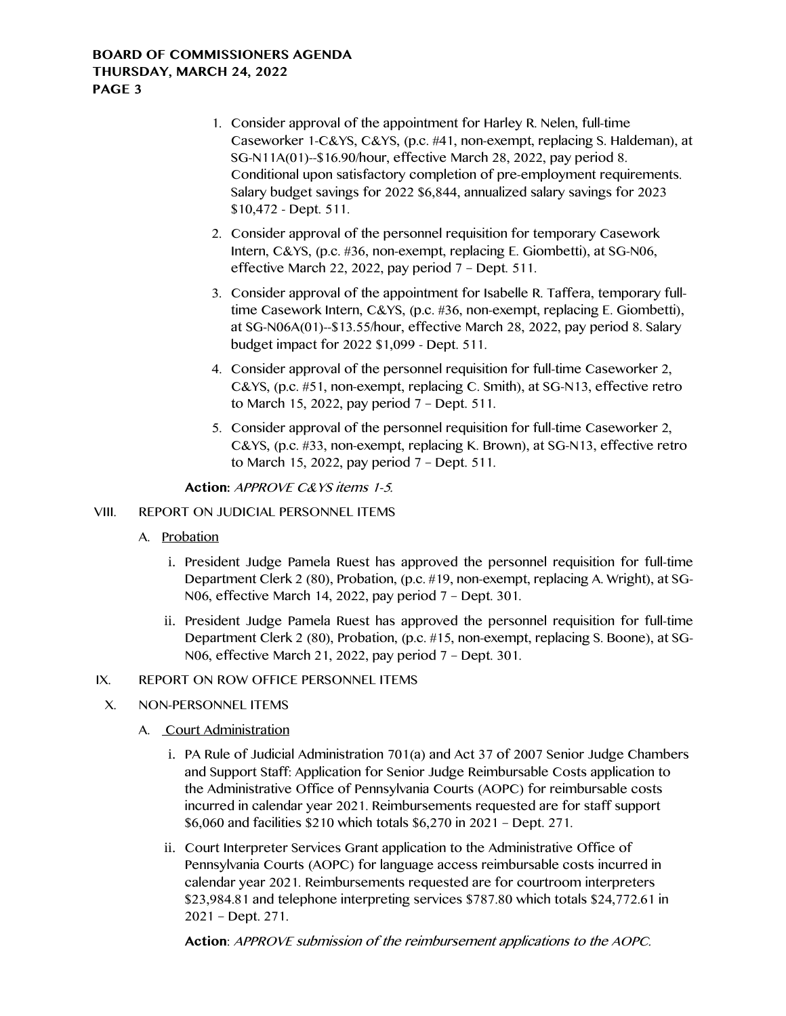- 1. Consider approval of the appointment for Harley R. Nelen, full-time Caseworker 1-C&YS, C&YS, (p.c. #41, non-exempt, replacing S. Haldeman), at SG-N11A(01)--\$16.90/hour, effective March 28, 2022, pay period 8. Conditional upon satisfactory completion of pre-employment requirements. Salary budget savings for 2022 \$6,844, annualized salary savings for 2023 \$10,472 - Dept. 511.
- 2. Consider approval of the personnel requisition for temporary Casework Intern, C&YS, (p.c. #36, non-exempt, replacing E. Giombetti), at SG-N06, effective March 22, 2022, pay period 7 – Dept. 511.
- 3. Consider approval of the appointment for Isabelle R. Taffera, temporary fulltime Casework Intern, C&YS, (p.c. #36, non-exempt, replacing E. Giombetti), at SG-N06A(01)--\$13.55/hour, effective March 28, 2022, pay period 8. Salary budget impact for 2022 \$1,099 - Dept. 511.
- 4. Consider approval of the personnel requisition for full-time Caseworker 2, C&YS, (p.c. #51, non-exempt, replacing C. Smith), at SG-N13, effective retro to March 15, 2022, pay period 7 – Dept. 511.
- 5. Consider approval of the personnel requisition for full-time Caseworker 2, C&YS, (p.c. #33, non-exempt, replacing K. Brown), at SG-N13, effective retro to March 15, 2022, pay period 7 – Dept. 511.

**Action:** APPROVE C&YS items 1-5.

# VIII. REPORT ON JUDICIAL PERSONNEL ITEMS

- A. Probation
	- i. President Judge Pamela Ruest has approved the personnel requisition for full-time Department Clerk 2 (80), Probation, (p.c. #19, non-exempt, replacing A. Wright), at SG-N06, effective March 14, 2022, pay period 7 – Dept. 301.
	- ii. President Judge Pamela Ruest has approved the personnel requisition for full-time Department Clerk 2 (80), Probation, (p.c. #15, non-exempt, replacing S. Boone), at SG-N06, effective March 21, 2022, pay period 7 – Dept. 301.

# IX. REPORT ON ROW OFFICE PERSONNEL ITEMS

# X. NON-PERSONNEL ITEMS

- A. Court Administration
	- i. PA Rule of Judicial Administration 701(a) and Act 37 of 2007 Senior Judge Chambers and Support Staff: Application for Senior Judge Reimbursable Costs application to the Administrative Office of Pennsylvania Courts (AOPC) for reimbursable costs incurred in calendar year 2021. Reimbursements requested are for staff support \$6,060 and facilities \$210 which totals \$6,270 in 2021 – Dept. 271.
	- ii. Court Interpreter Services Grant application to the Administrative Office of Pennsylvania Courts (AOPC) for language access reimbursable costs incurred in calendar year 2021. Reimbursements requested are for courtroom interpreters \$23,984.81 and telephone interpreting services \$787.80 which totals \$24,772.61 in 2021 – Dept. 271.

**Action**: APPROVE submission of the reimbursement applications to the AOPC.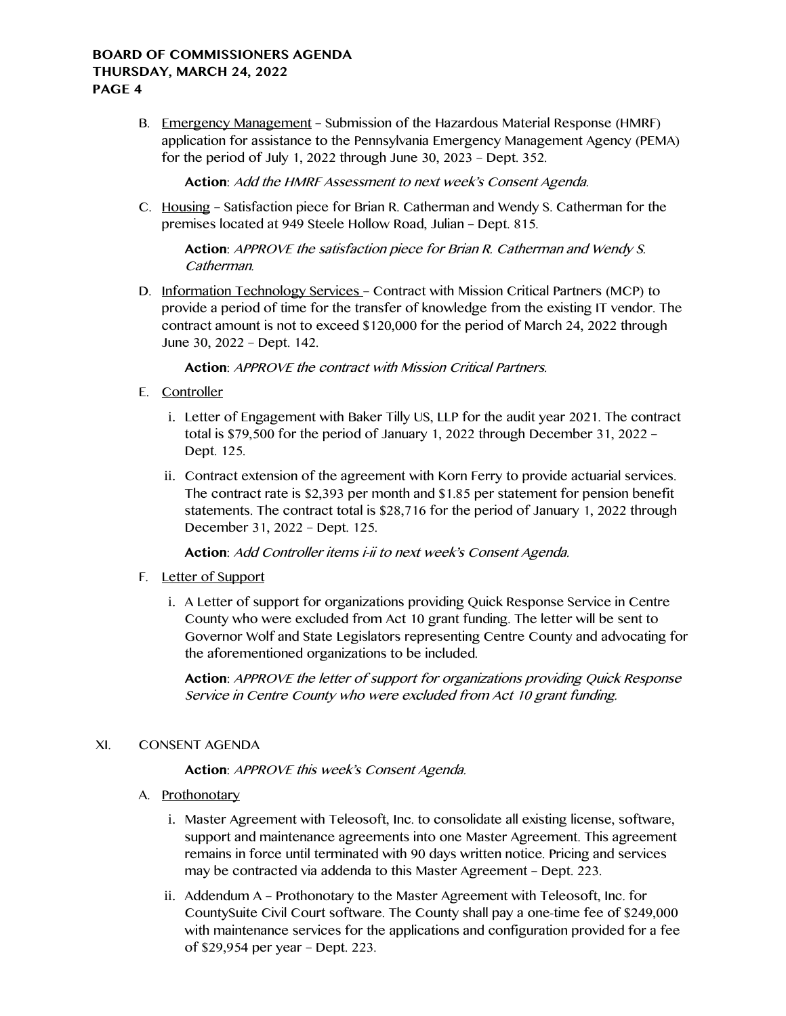B. Emergency Management – Submission of the Hazardous Material Response (HMRF) application for assistance to the Pennsylvania Emergency Management Agency (PEMA) for the period of July 1, 2022 through June 30, 2023 – Dept. 352.

**Action**: Add the HMRF Assessment to next week's Consent Agenda.

C. Housing – Satisfaction piece for Brian R. Catherman and Wendy S. Catherman for the premises located at 949 Steele Hollow Road, Julian – Dept. 815.

**Action**: APPROVE the satisfaction piece for Brian R. Catherman and Wendy S. Catherman.

D. Information Technology Services – Contract with Mission Critical Partners (MCP) to provide a period of time for the transfer of knowledge from the existing IT vendor. The contract amount is not to exceed \$120,000 for the period of March 24, 2022 through June 30, 2022 – Dept. 142.

**Action**: APPROVE the contract with Mission Critical Partners.

- E. Controller
	- i. Letter of Engagement with Baker Tilly US, LLP for the audit year 2021. The contract total is \$79,500 for the period of January 1, 2022 through December 31, 2022 – Dept. 125.
	- ii. Contract extension of the agreement with Korn Ferry to provide actuarial services. The contract rate is \$2,393 per month and \$1.85 per statement for pension benefit statements. The contract total is \$28,716 for the period of January 1, 2022 through December 31, 2022 – Dept. 125.

**Action**: Add Controller items i-ii to next week's Consent Agenda.

- F. Letter of Support
	- i. A Letter of support for organizations providing Quick Response Service in Centre County who were excluded from Act 10 grant funding. The letter will be sent to Governor Wolf and State Legislators representing Centre County and advocating for the aforementioned organizations to be included.

**Action**: APPROVE the letter of support for organizations providing Quick Response Service in Centre County who were excluded from Act 10 grant funding.

# XI. CONSENT AGENDA

**Action**: APPROVE this week's Consent Agenda.

- A. Prothonotary
	- i. Master Agreement with Teleosoft, Inc. to consolidate all existing license, software, support and maintenance agreements into one Master Agreement. This agreement remains in force until terminated with 90 days written notice. Pricing and services may be contracted via addenda to this Master Agreement – Dept. 223.
	- ii. Addendum A Prothonotary to the Master Agreement with Teleosoft, Inc. for CountySuite Civil Court software. The County shall pay a one-time fee of \$249,000 with maintenance services for the applications and configuration provided for a fee of \$29,954 per year – Dept. 223.